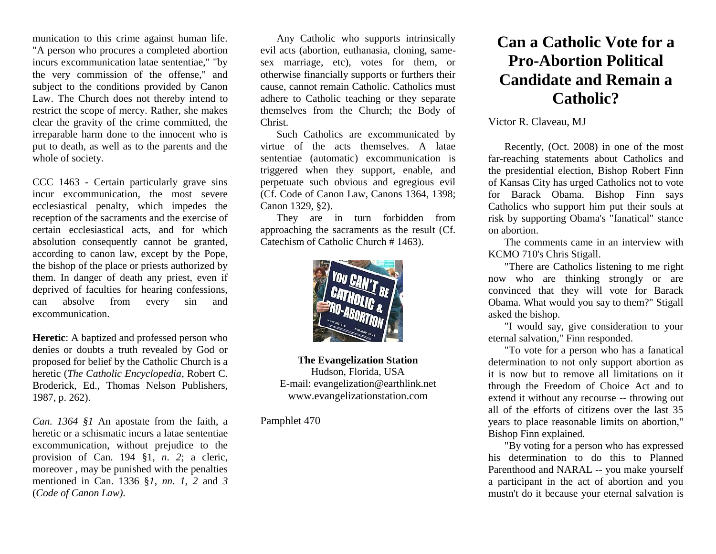munication to this crime against human life. "A person who procures a completed abortion incurs excommunication latae sententiae," "by the very commission of the offense," and subject to the conditions provided by Canon Law. The Church does not thereby intend to restrict the scope of mercy. Rather, she makes clear the gravity of the crime committed, the irreparable harm done to the innocent who is put to death, as well as to the parents and the whole of society.

CCC 1463 - Certain particularly grave sins incur excommunication, the most severe ecclesiastical penalty, which impedes the reception of the sacraments and the exercise of certain ecclesiastical acts, and for which absolution consequently cannot be granted, according to canon law, except by the Pope, the bishop of the place or priests authorized by them. In danger of death any priest, even if deprived of faculties for hearing confessions, can absolve from every sin and excommunication.

**Heretic**: A baptized and professed person who denies or doubts a truth revealed by God or proposed for belief by the Catholic Church is a heretic (*The Catholic Encyclopedia*, Robert C. Broderick, Ed., Thomas Nelson Publishers, 1987, p. 262).

*Can. 1364 [§1](http://www.intratext.com/IXT/ENG0017/H.HTM)* An apostate from the faith, a heretic or a schismatic incurs a [latae](http://www.intratext.com/IXT/ENG0017/DY.HTM) [sententiae](http://www.intratext.com/IXT/ENG0017/CK.HTM) excommunication, without prejudice to the provision of Can. 194 §1, *[n](http://www.intratext.com/IXT/ENG0017/BI.HTM)*. *[2](http://www.intratext.com/IXT/ENG0017/I.HTM)*; a cleric, moreover , may be punished with the penalties mentioned in Can. 1336 §*[1](http://www.intratext.com/IXT/ENG0017/H.HTM)*, *[nn](http://www.intratext.com/IXT/ENG0017/MK.HTM)*. *[1](http://www.intratext.com/IXT/ENG0017/H.HTM)*, *[2](http://www.intratext.com/IXT/ENG0017/I.HTM)* and *[3](http://www.intratext.com/IXT/ENG0017/17.HTM)* (*Code of Canon Law).*

Any Catholic who supports intrinsically evil acts (abortion, euthanasia, cloning, samesex marriage, etc), votes for them, or otherwise financially supports or furthers their cause, cannot remain Catholic. Catholics must adhere to Catholic teaching or they separate themselves from the Church; the Body of Christ.

Such Catholics are excommunicated by virtue of the acts themselves. A latae sententiae (automatic) excommunication is triggered when they support, enable, and perpetuate such obvious and egregious evil (Cf. Code of Canon Law, Canons 1364, 1398; Canon 1329, §2).

They are in turn forbidden from approaching the sacraments as the result (Cf. Catechism of Catholic Church # 1463).



**The Evangelization Station** Hudson, Florida, USA E-mail: evangelization@earthlink.net [www.evangelizationstation.com](http://www.pjpiisoe.org/)

Pamphlet 470

## **Can a Catholic Vote for a Pro-Abortion Political Candidate and Remain a Catholic?**

## Victor R. Claveau, MJ

Recently, (Oct. 2008) in one of the most far-reaching statements about Catholics and the presidential election, Bishop Robert Finn of Kansas City has urged Catholics not to vote for Barack Obama. Bishop Finn says Catholics who support him put their souls at risk by supporting Obama's "fanatical" stance on abortion.

The comments came in an interview with KCMO 710's Chris Stigall.

"There are Catholics listening to me right now who are thinking strongly or are convinced that they will vote for Barack Obama. What would you say to them?" Stigall asked the bishop.

"I would say, give consideration to your eternal salvation," Finn responded.

"To vote for a person who has a fanatical determination to not only support abortion as it is now but to remove all limitations on it through the Freedom of Choice Act and to extend it without any recourse -- throwing out all of the efforts of citizens over the last 35 years to place reasonable limits on abortion," Bishop Finn explained.

"By voting for a person who has expressed his determination to do this to Planned Parenthood and NARAL -- you make yourself a participant in the act of abortion and you mustn't do it because your eternal salvation is